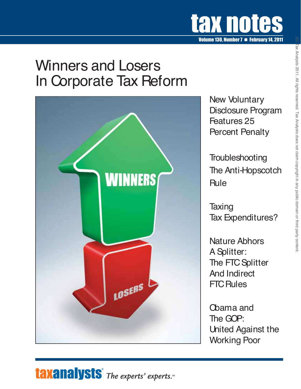

## Winners and Losers In Corporate Tax Reform



New Voluntary Disclosure Program Features 25 Percent Penalty

**Troubleshooting** The Anti-Hopscotch **Rule** 

**Taxing** Tax Expenditures?

Nature Abhors A Splitter: The FTC Splitter And Indirect FTC Rules

Obama and The GOP: United Against the Working Poor

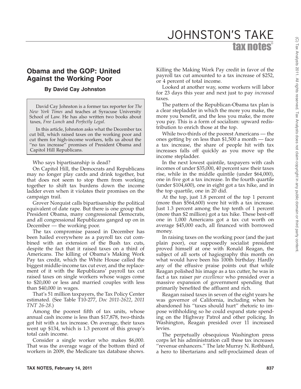## **Obama and the GOP: United**

## **By David Cay Johnston**

**Against the Working Poor**

David Cay Johnston is a former tax reporter for *The New York Times* and teaches at Syracuse University School of Law. He has also written two books about taxes, *Free Lunch* and *Perfectly Legal*.

In this article, Johnston asks what the December tax cut bill, which raised taxes on the working poor and cut them for high-income workers, tells us about the "no tax increase" promises of President Obama and Capitol Hill Republicans.

Who says bipartisanship is dead?

On Capitol Hill, the Democrats and Republicans may no longer play cards and drink together, but that does not seem to stop them from working together to shift tax burdens down the income ladder even when it violates their promises on the campaign trail.

Grover Norquist calls bipartisanship the political equivalent of date rape. But there is one group that President Obama, many congressional Democrats, and all congressional Republicans ganged up on in December — the working poor.

The tax compromise passed in December has been hailed everywhere as a payroll tax cut combined with an extension of the Bush tax cuts, despite the fact that it raised taxes on a third of Americans. The killing of Obama's Making Work Pay tax credit, which the White House called the biggest middle-income tax cut ever, and the replacement of it with the Republicans' payroll tax cut raised taxes on single workers whose wages come to \$20,000 or less and married couples with less than \$40,000 in wages.

That's 51 million taxpayers, the Tax Policy Center estimated. (See Table T10-277, *Doc 2011-2622*, *2011 TNT 26-28*.)

Among the poorest fifth of tax units, whose annual cash income is less than \$17,878, two-thirds got hit with a tax increase. On average, their taxes went up \$134, which is 1.3 percent of this group's total cash income.

Consider a single worker who makes \$6,000. That was the average wage of the bottom third of workers in 2009, the Medicare tax database shows.

Killing the Making Work Pay credit in favor of the payroll tax cut amounted to a tax increase of \$252, or 4 percent of total income.

JOHNSTON'S TAKE

tax notes®

Looked at another way, some workers will labor for 23 days this year and next just to pay *increased* taxes.

The pattern of the Republican-Obama tax plan is a clear stepladder in which the more you make, the more you benefit, and the less you make, the more you pay. This is a form of socialism: upward redistribution to enrich those at the top.

While two-thirds of the poorest Americans — the ones getting by on less than \$1,500 a month — face a tax increase, the share of people hit with tax increases falls off quickly as you move up the income stepladder.

In the next lowest quintile, taxpayers with cash incomes of under \$35,000, 40 percent saw their taxes rise, while in the middle quintile (under \$64,000), one in five got a tax increase. In the fourth quartile (under \$104,600), one in eight got a tax hike, and in the top quartile, one in 20 did.

At the top, just 1.8 percent of the top 1 percent (more than \$564,600) were hit with a tax increase. Just 1.3 percent among the top tenth of 1 percent (more than \$2 million) got a tax hike. These best-off one in 1,000 Americans got a tax cut worth on average \$45,000 each, all financed with borrowed money.

In raising taxes on the working poor (and the just plain poor), our supposedly socialist president proved himself at one with Ronald Reagan, the subject of all sorts of hagiography this month on what would have been his 100th birthday. Hardly any of the effusive praise points out that while Reagan polished his image as a tax cutter, he was in fact a tax raiser *par excellence* who presided over a massive expansion of government spending that primarily benefited the affluent and rich.

Reagan raised taxes in seven of the eight years he was governor of California, including when he abandoned his ''taxes should hurt'' rhetoric to impose withholding so he could expand state spending on the Highway Patrol and other policing. In Washington, Reagan presided over 11 increased levies.

The perpetually obsequious Washington press corps let his administration call these tax increases ''revenue enhancers.'' The late Murray N. Rothbard, a hero to libertarians and self-proclaimed dean of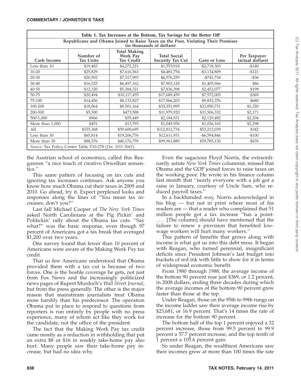| Table 1. Tax Increases at the Bottom, Tax Savings for the Better Off                                           |                        |                                                      |                                                |                 |                                  |  |  |
|----------------------------------------------------------------------------------------------------------------|------------------------|------------------------------------------------------|------------------------------------------------|-----------------|----------------------------------|--|--|
| Republicans and Obama Joined to Raise Taxes on the Poor, Violating Their Promises<br>(in thousands of dollars) |                        |                                                      |                                                |                 |                                  |  |  |
| Cash Income                                                                                                    | Number of<br>Tax Units | <b>Total Making</b><br><b>Work Pay</b><br>Tax Credit | <b>Total Social</b><br><b>Security Tax Cut</b> | Gain or Loss    | Per Taxpayer<br>(actual dollars) |  |  |
| Less than 10                                                                                                   | \$19,483               | \$4,272,221                                          | \$1,553,918                                    | $-$ \$2,718,303 | $-5140$                          |  |  |
| $10 - 20$                                                                                                      | \$25,829               | \$7,616,563                                          | \$4,481,754                                    | $- $3,134,809$  | $-5121$                          |  |  |
| $20 - 30$                                                                                                      | \$20,502               | \$7,317,993                                          | \$6,576,259                                    | -\$741,734      | $-$ \$36                         |  |  |
| 30-40                                                                                                          | \$16,325               | \$6,497,162                                          | \$7,903,128                                    | \$1,405,966     | \$86                             |  |  |
| 40-50                                                                                                          | \$12,320               | \$5,384,321                                          | \$7,836,398                                    | \$2,452,077     | \$199                            |  |  |
| 50-75                                                                                                          | \$20,494               | \$10,117,455                                         | \$17,689,459                                   | \$7,572,003     | \$369                            |  |  |
| 75-100                                                                                                         | \$14,456               | \$8,133,827                                          | \$17,966,203                                   | \$9,832,376     | \$680                            |  |  |
| 100-200                                                                                                        | \$18,064               | \$9,501,164                                          | \$33,351,895                                   | \$23,850,731    | \$1,320                          |  |  |
| 200-500                                                                                                        | \$5,300                | \$473,588                                            | \$11,979,920                                   | \$11,506,332    | \$2,171                          |  |  |
| 500-1,000                                                                                                      | \$966                  | \$55,449                                             | \$2,184,931                                    | \$2,129,482     | \$2,204                          |  |  |
| More than 1,000                                                                                                | \$451                  | \$13,793                                             | \$1,049,956                                    | \$1,036,163     | \$2,298                          |  |  |
| All                                                                                                            | \$155,368              | \$59,600,695                                         | \$112,812,734                                  | \$53,212,039    | \$342                            |  |  |
| Less than 30                                                                                                   | \$65,814               | \$19,206,776                                         | \$12,611,931                                   | -\$6,594,846    | $-$100$                          |  |  |
| More than 30                                                                                                   | \$88,376               | \$40,176,759                                         | \$99,961,889                                   | \$59,785,130    | \$676                            |  |  |
| Source: Tax Policy Center Table T10-278 (Doc 2011-3042).                                                       |                        |                                                      |                                                |                 |                                  |  |  |

the Austrian school of economics, called this Reaganism ''a nice touch of creative Orwellian semantics.''

This same pattern of focusing on tax cuts and ignoring tax increases continues. Ask anyone you know how much Obama cut their taxes in 2009 and 2010. Go ahead, try it. Expect perplexed looks and responses along the lines of ''You mean tax increases, don't you?''

Last fall Michael Cooper of *The New York Times* asked North Carolinians at the Pig Pickin' and Politickin' rally about the Obama tax cuts. ''Say what?'' was the basic response, even though 97 percent of Americans got a tax break that averaged \$1,200 over two years.

One survey found that fewer than 10 percent of Americans were aware of the Making Work Pay tax credit.

That so few Americans understood that Obama provided them with a tax cut is because of two forces. One is the hostile coverage he gets, not just from Fox News and the increasingly politicized news pages of Rupert Murdoch's *Wall Street Journal*, but from the press generally. The other is the major reason that mainstream journalists treat Obama more harshly than his predecessor. The operation Obama put in place to respond to questions from reporters is run entirely by people with no press experience, many of whom act like they work for the candidate, not the office of the president.

The fact that the Making Work Pay tax credit came mostly as a reduction in withholding that put an extra \$8 or \$16 in weekly take-home pay also hurt. Many people saw their take-home pay increase, but had no idea why.

Even the sagacious Floyd Norris, the extraordinarily astute *New York Times* columnist, missed that Obama and the GOP joined forces to raise taxes on the working poor. He wrote in his finance column last month that ''nearly everyone with a job got a raise in January, courtesy of Uncle Sam, who reduced payroll taxes.''

In a backhanded way, Norris acknowledged in his blog — but not in print where most of his readers are — that a reader who complained that 51 million people got a tax increase ''has a point- .... [The column] should have mentioned that the failure to renew a provision that benefited lowwage workers will hurt many workers.''

This pattern of benefits that grows along with income is what got us into this debt mess. It began with Reagan, who turned perennial, insignificant deficits since President Johnson's last budget into buckets of red ink with little to show for it in terms of widespread economic benefit.

From 1980 through 1988, the average income of the bottom 90 percent rose just \$369, or 1.2 percent, in 2008 dollars, ending three decades during which the average incomes of the bottom 90 percent grew faster than those at the top.

Under Reagan, those on the 95th to 99th rungs on the income ladder saw their average income rise by \$23,681, or 16.9 percent. That's 14 times the rate of increase for the bottom 90 percent.

The bottom half of the top 1 percent enjoyed a 32 percent increase, those from 99.5 percent to 99.9 percent a 57.7 percent increase, and the top tenth of 1 percent a 105.6 percent gain.

So under Reagan, the wealthiest Americans saw their incomes grow at more than 100 times the rate